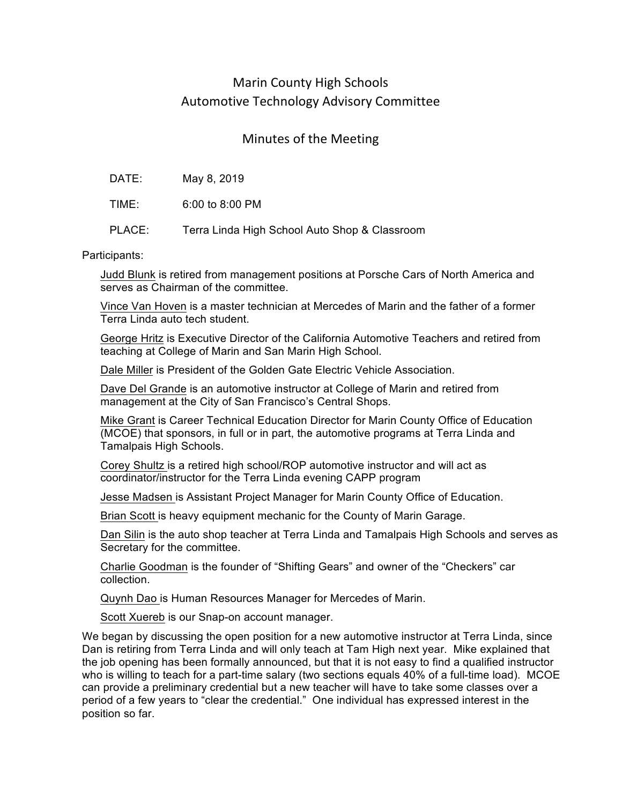## Marin County High Schools Automotive Technology Advisory Committee

## Minutes of the Meeting

| DATE: | May 8, 2019 |  |
|-------|-------------|--|
|       |             |  |

TIME: 6:00 to 8:00 PM

PLACE: Terra Linda High School Auto Shop & Classroom

Participants:

Judd Blunk is retired from management positions at Porsche Cars of North America and serves as Chairman of the committee.

Vince Van Hoven is a master technician at Mercedes of Marin and the father of a former Terra Linda auto tech student.

George Hritz is Executive Director of the California Automotive Teachers and retired from teaching at College of Marin and San Marin High School.

Dale Miller is President of the Golden Gate Electric Vehicle Association.

Dave Del Grande is an automotive instructor at College of Marin and retired from management at the City of San Francisco's Central Shops.

Mike Grant is Career Technical Education Director for Marin County Office of Education (MCOE) that sponsors, in full or in part, the automotive programs at Terra Linda and Tamalpais High Schools.

Corey Shultz is a retired high school/ROP automotive instructor and will act as coordinator/instructor for the Terra Linda evening CAPP program

Jesse Madsen is Assistant Project Manager for Marin County Office of Education.

Brian Scott is heavy equipment mechanic for the County of Marin Garage.

Dan Silin is the auto shop teacher at Terra Linda and Tamalpais High Schools and serves as Secretary for the committee.

Charlie Goodman is the founder of "Shifting Gears" and owner of the "Checkers" car collection.

Quynh Dao is Human Resources Manager for Mercedes of Marin.

Scott Xuereb is our Snap-on account manager.

We began by discussing the open position for a new automotive instructor at Terra Linda, since Dan is retiring from Terra Linda and will only teach at Tam High next year. Mike explained that the job opening has been formally announced, but that it is not easy to find a qualified instructor who is willing to teach for a part-time salary (two sections equals 40% of a full-time load). MCOE can provide a preliminary credential but a new teacher will have to take some classes over a period of a few years to "clear the credential." One individual has expressed interest in the position so far.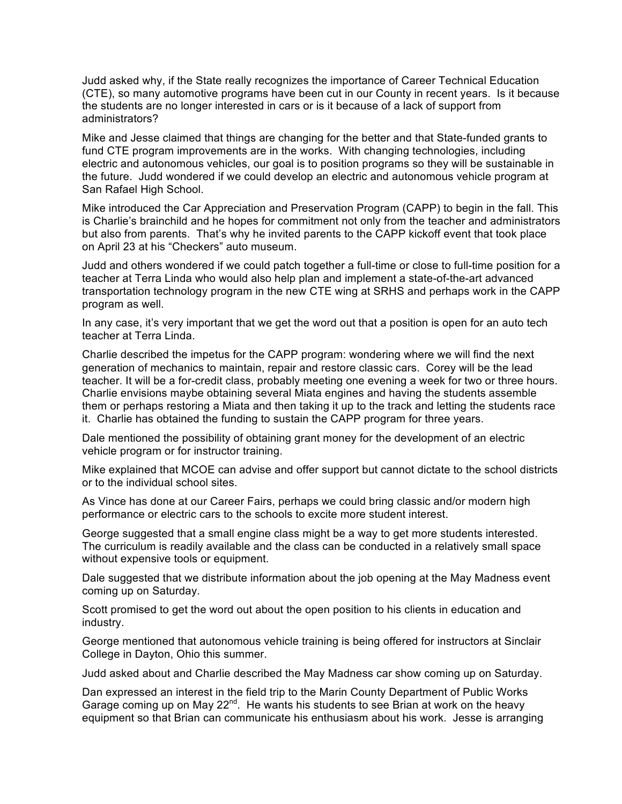Judd asked why, if the State really recognizes the importance of Career Technical Education (CTE), so many automotive programs have been cut in our County in recent years. Is it because the students are no longer interested in cars or is it because of a lack of support from administrators?

Mike and Jesse claimed that things are changing for the better and that State-funded grants to fund CTE program improvements are in the works. With changing technologies, including electric and autonomous vehicles, our goal is to position programs so they will be sustainable in the future. Judd wondered if we could develop an electric and autonomous vehicle program at San Rafael High School.

Mike introduced the Car Appreciation and Preservation Program (CAPP) to begin in the fall. This is Charlie's brainchild and he hopes for commitment not only from the teacher and administrators but also from parents. That's why he invited parents to the CAPP kickoff event that took place on April 23 at his "Checkers" auto museum.

Judd and others wondered if we could patch together a full-time or close to full-time position for a teacher at Terra Linda who would also help plan and implement a state-of-the-art advanced transportation technology program in the new CTE wing at SRHS and perhaps work in the CAPP program as well.

In any case, it's very important that we get the word out that a position is open for an auto tech teacher at Terra Linda.

Charlie described the impetus for the CAPP program: wondering where we will find the next generation of mechanics to maintain, repair and restore classic cars. Corey will be the lead teacher. It will be a for-credit class, probably meeting one evening a week for two or three hours. Charlie envisions maybe obtaining several Miata engines and having the students assemble them or perhaps restoring a Miata and then taking it up to the track and letting the students race it. Charlie has obtained the funding to sustain the CAPP program for three years.

Dale mentioned the possibility of obtaining grant money for the development of an electric vehicle program or for instructor training.

Mike explained that MCOE can advise and offer support but cannot dictate to the school districts or to the individual school sites.

As Vince has done at our Career Fairs, perhaps we could bring classic and/or modern high performance or electric cars to the schools to excite more student interest.

George suggested that a small engine class might be a way to get more students interested. The curriculum is readily available and the class can be conducted in a relatively small space without expensive tools or equipment.

Dale suggested that we distribute information about the job opening at the May Madness event coming up on Saturday.

Scott promised to get the word out about the open position to his clients in education and industry.

George mentioned that autonomous vehicle training is being offered for instructors at Sinclair College in Dayton, Ohio this summer.

Judd asked about and Charlie described the May Madness car show coming up on Saturday.

Dan expressed an interest in the field trip to the Marin County Department of Public Works Garage coming up on May 22<sup>nd</sup>. He wants his students to see Brian at work on the heavy equipment so that Brian can communicate his enthusiasm about his work. Jesse is arranging